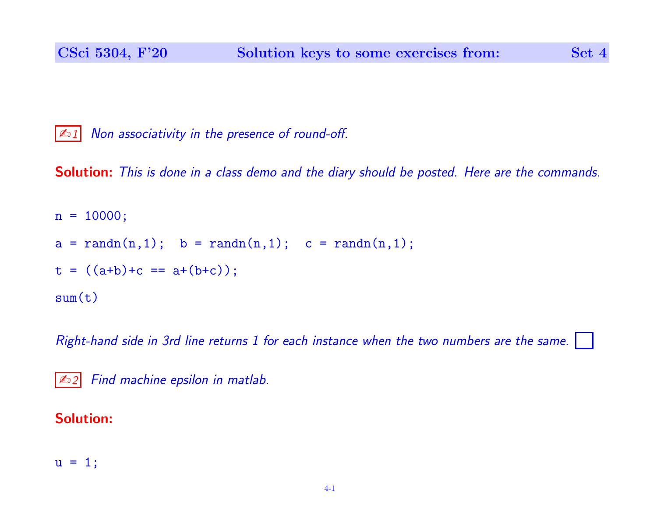$\vert$   $\mathbb{Z}$  1 Non associativity in the presence of round-off.

Solution: This is done in a class demo and the diary should be posted. Here are the commands.

```
n = 10000;a = \text{randn}(n,1); b = \text{randn}(n,1); c = \text{randn}(n,1);t = ((a+b)+c == a+(b+c));sum(t)
```
Right-hand side in 3rd line returns 1 for each instance when the two numbers are the same.

|  | 402 Find machine epsilon in matlab. |  |  |
|--|-------------------------------------|--|--|
|  |                                     |  |  |

## Solution:

$$
u = 1;
$$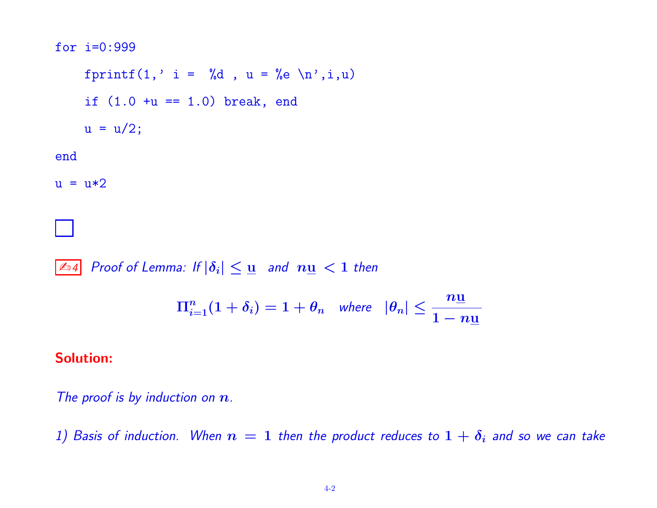## for i=0:999

fprintf(1,' i = %d, u = %e \n',i,u) if  $(1.0 +u == 1.0)$  break, end  $u = u/2;$ end  $u = u*2$ 

 $\boxed{\mathbb{Z}_04}$  Proof of Lemma: If  $|\delta_i| \leq \underline{u}$  and  $n\underline{u} < 1$  then

$$
\Pi_{i=1}^n(1+\delta_i) = 1+\theta_n \quad \text{where} \quad |\theta_n| \leq \frac{n\underline{\mathbf{u}}}{1-n\underline{\mathbf{u}}}
$$

## Solution:

The proof is by induction on  $n$ .

1) Basis of induction. When  $n = 1$  then the product reduces to  $1 + \delta_i$  and so we can take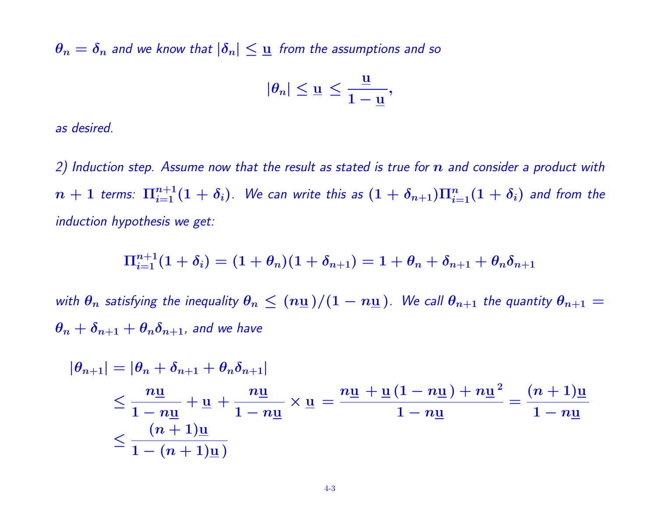$\theta_n = \delta_n$  and we know that  $|\delta_n| \leq \underline{u}$  from the assumptions and so

$$
|\theta_n|\leq \underline{\mathbf{u}}\,\leq \frac{\underline{\mathbf{u}}}{1-\underline{\mathbf{u}}},
$$

as desired.

2) Induction step. Assume now that the result as stated is true for  $\bm{n}$  and consider a product with  $n+1$  terms:  $\Pi_{i=1}^{n+1}(1+\delta_i)$ . We can write this as  $(1+\delta_{n+1})\Pi_{i=1}^n(1+\delta_i)$  and from the induction hypothesis we get:

$$
\Pi_{i=1}^{n+1}(1+\delta_i)=(1+\theta_n)(1+\delta_{n+1})=1+\theta_n+\delta_{n+1}+\theta_n\delta_{n+1}
$$

with  $\theta_n$  satisfying the inequality  $\theta_n \leq (n\underline{u})/(1-n\underline{u})$ . We call  $\theta_{n+1}$  the quantity  $\theta_{n+1} =$  $\theta_n + \delta_{n+1} + \theta_n \delta_{n+1}$ , and we have

$$
\begin{aligned} |\theta_{n+1}| &= |\theta_n + \delta_{n+1} + \theta_n \delta_{n+1}| \\ &\le \frac{n\underline{\mathsf{u}}}{1 - n\underline{\mathsf{u}}} + \underline{\mathsf{u}} + \frac{n\underline{\mathsf{u}}}{1 - n\underline{\mathsf{u}}} \times \underline{\mathsf{u}} = \frac{n\underline{\mathsf{u}} + \underline{\mathsf{u}}\left(1 - n\underline{\mathsf{u}}\right) + n\underline{\mathsf{u}}^2}{1 - n\underline{\mathsf{u}}} = \frac{(n+1)\underline{\mathsf{u}}}{1 - n\underline{\mathsf{u}}} \\ &\le \frac{(n+1)\underline{\mathsf{u}}}{1 - (n+1)\underline{\mathsf{u}}}\n\end{aligned}
$$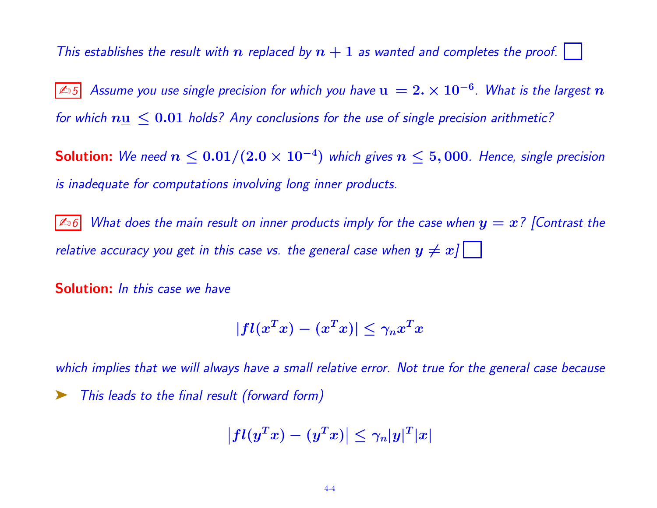This establishes the result with  $n$  replaced by  $n + 1$  as wanted and completes the proof.

 $\boxed{\mathbb{Z}_0 5}$  Assume you use single precision for which you have  $\underline{\mathbf{u}}\,=\,2.\times 10^{-6}$ . What is the largest  $\bm{n}$ for which  $nu < 0.01$  holds? Any conclusions for the use of single precision arithmetic?

**Solution:** We need  $n \leq 0.01/(2.0 \times 10^{-4})$  which gives  $n \leq 5,000$ . Hence, single precision is inadequate for computations involving long inner products.

 $\vert$   $\mathbb{Z}$  6 What does the main result on inner products imply for the case when  $y = x$ ? [Contrast the relative accuracy you get in this case vs. the general case when  $y \neq x/\lceil \rceil$ 

Solution: In this case we have

$$
|fl(x^T x) - (x^T x)| \leq \gamma_n x^T x
$$

which implies that we will always have a small relative error. Not true for the general case because This leads to the final result (forward form)

 $|x|$ 

$$
\left|fl(y^Tx) - (y^Tx)\right| \leq \gamma_n |y|^T
$$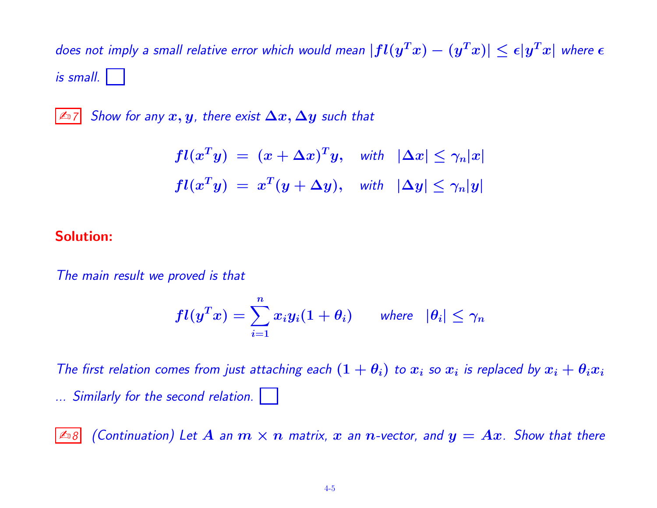does not imply a small relative error which would mean  $|fl(y^Tx)-(y^Tx)| \leq \epsilon |y^Tx|$  where  $\epsilon$  $i$ s small.

 $\vert$   $\mathbb{Z}_7$  Show for any  $x, y$ , there exist  $\Delta x, \Delta y$  such that

$$
fl(x^T y) = (x + \Delta x)^T y, \text{ with } |\Delta x| \leq \gamma_n |x|
$$
  

$$
fl(x^T y) = x^T (y + \Delta y), \text{ with } |\Delta y| \leq \gamma_n |y|
$$

## Solution:

The main result we proved is that

$$
fl(y^T x) = \sum_{i=1}^n x_i y_i (1 + \theta_i) \qquad \text{where} \quad |\theta_i| \leq \gamma_n
$$

The first relation comes from just attaching each  $(1+\theta_i)$  to  $x_i$  so  $x_i$  is replaced by  $x_i+\theta_ix_i$ ... Similarly for the second relation.

 $\boxed{\mathbb{Z}_98}$  (Continuation) Let  $A$  an  $m\times n$  matrix,  $x$  an  $n$ -vector, and  $y = Ax$ . Show that there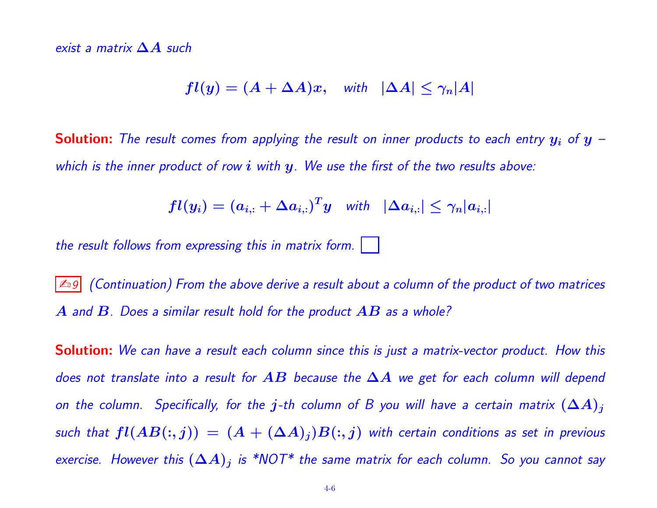exist a matrix  $\Delta A$  such

$$
fl(y)=(A+\Delta A)x, \quad \text{with} \quad |\Delta A| \leq \gamma_n |A|
$$

**Solution:** The result comes from applying the result on inner products to each entry  $y_i$  of  $y$  – which is the inner product of row  $i$  with  $y$ . We use the first of the two results above:

$$
fl(y_i) = (a_{i,:} + \Delta a_{i,:})^T y \quad \text{with} \quad |\Delta a_{i,:}| \leq \gamma_n |a_{i,:}|
$$

the result follows from expressing this in matrix form.

 $\mathbb{Z}$  (Continuation) From the above derive a result about a column of the product of two matrices  $\bm{A}$  and  $\bm{B}$ . Does a similar result hold for the product  $\bm{A}\bm{B}$  as a whole?

Solution: We can have a result each column since this is just a matrix-vector product. How this does not translate into a result for AB because the  $\Delta A$  we get for each column will depend on the column. Specifically, for the j-th column of B you will have a certain matrix  $(\Delta A)_j$ such that  $fl(AB(:, j)) = (A + (\Delta A)_j)B(:, j)$  with certain conditions as set in previous exercise. However this  $(\Delta A)_j$  is \*NOT\* the same matrix for each column. So you cannot say